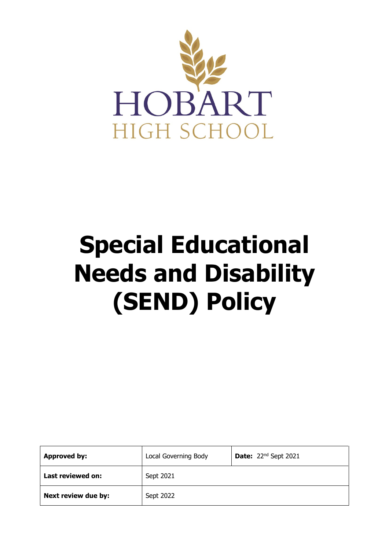

# **Special Educational Needs and Disability (SEND) Policy**

| <b>Approved by:</b>      | Local Governing Body | <b>Date:</b> $22^{nd}$ Sept 2021 |
|--------------------------|----------------------|----------------------------------|
| <b>Last reviewed on:</b> | Sept 2021            |                                  |
| Next review due by:      | Sept 2022            |                                  |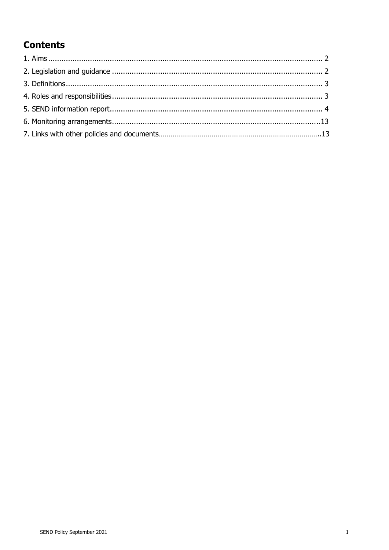# **Contents**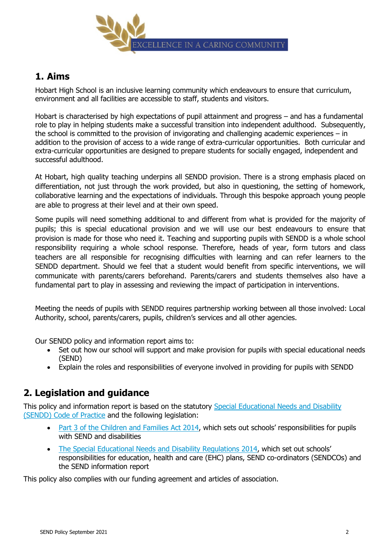

# **1. Aims**

Hobart High School is an inclusive learning community which endeavours to ensure that curriculum, environment and all facilities are accessible to staff, students and visitors.

Hobart is characterised by high expectations of pupil attainment and progress – and has a fundamental role to play in helping students make a successful transition into independent adulthood. Subsequently, the school is committed to the provision of invigorating and challenging academic experiences – in addition to the provision of access to a wide range of extra-curricular opportunities. Both curricular and extra-curricular opportunities are designed to prepare students for socially engaged, independent and successful adulthood.

At Hobart, high quality teaching underpins all SENDD provision. There is a strong emphasis placed on differentiation, not just through the work provided, but also in questioning, the setting of homework, collaborative learning and the expectations of individuals. Through this bespoke approach young people are able to progress at their level and at their own speed.

Some pupils will need something additional to and different from what is provided for the majority of pupils; this is special educational provision and we will use our best endeavours to ensure that provision is made for those who need it. Teaching and supporting pupils with SENDD is a whole school responsibility requiring a whole school response. Therefore, heads of year, form tutors and class teachers are all responsible for recognising difficulties with learning and can refer learners to the SENDD department. Should we feel that a student would benefit from specific interventions, we will communicate with parents/carers beforehand. Parents/carers and students themselves also have a fundamental part to play in assessing and reviewing the impact of participation in interventions.

Meeting the needs of pupils with SENDD requires partnership working between all those involved: Local Authority, school, parents/carers, pupils, children's services and all other agencies.

Our SENDD policy and information report aims to:

- Set out how our school will support and make provision for pupils with special educational needs (SEND)
- Explain the roles and responsibilities of everyone involved in providing for pupils with SENDD

# **2. Legislation and guidance**

This policy and information report is based on the statutory [Special Educational Needs and Disability](https://www.gov.uk/government/uploads/system/uploads/attachment_data/file/398815/SEND_Code_of_Practice_January_2015.pdf)  [\(SENDD\) Code of Practice](https://www.gov.uk/government/uploads/system/uploads/attachment_data/file/398815/SEND_Code_of_Practice_January_2015.pdf) and the following legislation:

- [Part 3 of the Children and Families Act 2014](http://www.legislation.gov.uk/ukpga/2014/6/part/3), which sets out schools' responsibilities for pupils with SEND and disabilities
- [The Special Educational Needs and Disability Regulations 2014](http://www.legislation.gov.uk/uksi/2014/1530/contents/made), which set out schools' responsibilities for education, health and care (EHC) plans, SEND co-ordinators (SENDCOs) and the SEND information report

This policy also complies with our funding agreement and articles of association.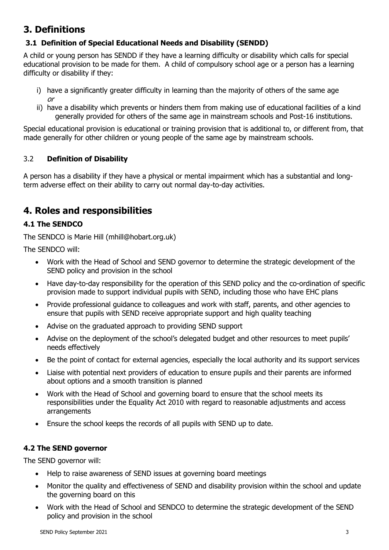# **3. Definitions**

# **3.1 Definition of Special Educational Needs and Disability (SENDD)**

A child or young person has SENDD if they have a learning difficulty or disability which calls for special educational provision to be made for them. A child of compulsory school age or a person has a learning difficulty or disability if they:

- i) have a significantly greater difficulty in learning than the majority of others of the same age or
- ii) have a disability which prevents or hinders them from making use of educational facilities of a kind generally provided for others of the same age in mainstream schools and Post-16 institutions.

Special educational provision is educational or training provision that is additional to, or different from, that made generally for other children or young people of the same age by mainstream schools.

# 3.2 **Definition of Disability**

A person has a disability if they have a physical or mental impairment which has a substantial and longterm adverse effect on their ability to carry out normal day-to-day activities.

# **4. Roles and responsibilities**

# **4.1 The SENDCO**

The SENDCO is Marie Hill (mhill@hobart.org.uk)

The SENDCO will:

- Work with the Head of School and SEND governor to determine the strategic development of the SEND policy and provision in the school
- Have day-to-day responsibility for the operation of this SEND policy and the co-ordination of specific provision made to support individual pupils with SEND, including those who have EHC plans
- Provide professional guidance to colleagues and work with staff, parents, and other agencies to ensure that pupils with SEND receive appropriate support and high quality teaching
- Advise on the graduated approach to providing SEND support
- Advise on the deployment of the school's delegated budget and other resources to meet pupils' needs effectively
- Be the point of contact for external agencies, especially the local authority and its support services
- Liaise with potential next providers of education to ensure pupils and their parents are informed about options and a smooth transition is planned
- Work with the Head of School and governing board to ensure that the school meets its responsibilities under the Equality Act 2010 with regard to reasonable adjustments and access arrangements
- Ensure the school keeps the records of all pupils with SEND up to date.

# **4.2 The SEND governor**

The SEND governor will:

- Help to raise awareness of SEND issues at governing board meetings
- Monitor the quality and effectiveness of SEND and disability provision within the school and update the governing board on this
- Work with the Head of School and SENDCO to determine the strategic development of the SEND policy and provision in the school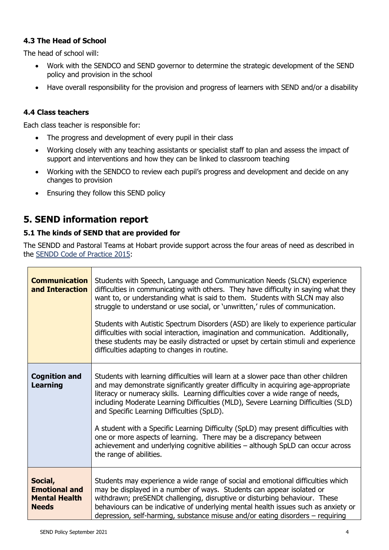## **4.3 The Head of School**

The head of school will:

- Work with the SENDCO and SEND governor to determine the strategic development of the SEND policy and provision in the school
- Have overall responsibility for the provision and progress of learners with SEND and/or a disability

#### **4.4 Class teachers**

Each class teacher is responsible for:

- The progress and development of every pupil in their class
- Working closely with any teaching assistants or specialist staff to plan and assess the impact of support and interventions and how they can be linked to classroom teaching
- Working with the SENDCO to review each pupil's progress and development and decide on any changes to provision
- Ensuring they follow this SEND policy

# **5. SEND information report**

#### **5.1 The kinds of SEND that are provided for**

The SENDD and Pastoral Teams at Hobart provide support across the four areas of need as described in the [SENDD Code of Practice 2015:](https://www.gov.uk/government/publications/send-code-of-practice-0-to-25)

| <b>Communication</b><br>and Interaction                                 | Students with Speech, Language and Communication Needs (SLCN) experience<br>difficulties in communicating with others. They have difficulty in saying what they<br>want to, or understanding what is said to them. Students with SLCN may also<br>struggle to understand or use social, or 'unwritten,' rules of communication.<br>Students with Autistic Spectrum Disorders (ASD) are likely to experience particular<br>difficulties with social interaction, imagination and communication. Additionally,<br>these students may be easily distracted or upset by certain stimuli and experience<br>difficulties adapting to changes in routine.                         |
|-------------------------------------------------------------------------|----------------------------------------------------------------------------------------------------------------------------------------------------------------------------------------------------------------------------------------------------------------------------------------------------------------------------------------------------------------------------------------------------------------------------------------------------------------------------------------------------------------------------------------------------------------------------------------------------------------------------------------------------------------------------|
| <b>Cognition and</b><br><b>Learning</b>                                 | Students with learning difficulties will learn at a slower pace than other children<br>and may demonstrate significantly greater difficulty in acquiring age-appropriate<br>literacy or numeracy skills. Learning difficulties cover a wide range of needs,<br>including Moderate Learning Difficulties (MLD), Severe Learning Difficulties (SLD)<br>and Specific Learning Difficulties (SpLD).<br>A student with a Specific Learning Difficulty (SpLD) may present difficulties with<br>one or more aspects of learning. There may be a discrepancy between<br>achievement and underlying cognitive abilities - although SpLD can occur across<br>the range of abilities. |
| Social,<br><b>Emotional and</b><br><b>Mental Health</b><br><b>Needs</b> | Students may experience a wide range of social and emotional difficulties which<br>may be displayed in a number of ways. Students can appear isolated or<br>withdrawn; preSENDt challenging, disruptive or disturbing behaviour. These<br>behaviours can be indicative of underlying mental health issues such as anxiety or<br>depression, self-harming, substance misuse and/or eating disorders - requiring                                                                                                                                                                                                                                                             |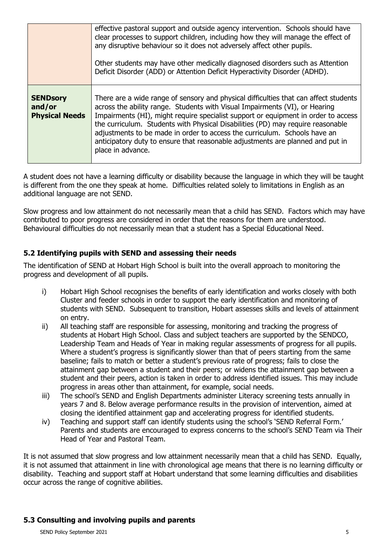|                                                    | effective pastoral support and outside agency intervention. Schools should have<br>clear processes to support children, including how they will manage the effect of<br>any disruptive behaviour so it does not adversely affect other pupils.<br>Other students may have other medically diagnosed disorders such as Attention<br>Deficit Disorder (ADD) or Attention Deficit Hyperactivity Disorder (ADHD).                                                                                                                    |
|----------------------------------------------------|----------------------------------------------------------------------------------------------------------------------------------------------------------------------------------------------------------------------------------------------------------------------------------------------------------------------------------------------------------------------------------------------------------------------------------------------------------------------------------------------------------------------------------|
| <b>SENDsory</b><br>and/or<br><b>Physical Needs</b> | There are a wide range of sensory and physical difficulties that can affect students<br>across the ability range. Students with Visual Impairments (VI), or Hearing<br>Impairments (HI), might require specialist support or equipment in order to access<br>the curriculum. Students with Physical Disabilities (PD) may require reasonable<br>adjustments to be made in order to access the curriculum. Schools have an<br>anticipatory duty to ensure that reasonable adjustments are planned and put in<br>place in advance. |

A student does not have a learning difficulty or disability because the language in which they will be taught is different from the one they speak at home. Difficulties related solely to limitations in English as an additional language are not SEND.

Slow progress and low attainment do not necessarily mean that a child has SEND. Factors which may have contributed to poor progress are considered in order that the reasons for them are understood. Behavioural difficulties do not necessarily mean that a student has a Special Educational Need.

## **5.2 Identifying pupils with SEND and assessing their needs**

The identification of SEND at Hobart High School is built into the overall approach to monitoring the progress and development of all pupils.

- i) Hobart High School recognises the benefits of early identification and works closely with both Cluster and feeder schools in order to support the early identification and monitoring of students with SEND. Subsequent to transition, Hobart assesses skills and levels of attainment on entry.
- ii) All teaching staff are responsible for assessing, monitoring and tracking the progress of students at Hobart High School. Class and subject teachers are supported by the SENDCO, Leadership Team and Heads of Year in making regular assessments of progress for all pupils. Where a student's progress is significantly slower than that of peers starting from the same baseline; fails to match or better a student's previous rate of progress; fails to close the attainment gap between a student and their peers; or widens the attainment gap between a student and their peers, action is taken in order to address identified issues. This may include progress in areas other than attainment, for example, social needs.
- iii) The school's SEND and English Departments administer Literacy screening tests annually in years 7 and 8. Below average performance results in the provision of intervention, aimed at closing the identified attainment gap and accelerating progress for identified students.
- iv) Teaching and support staff can identify students using the school's 'SEND Referral Form.' Parents and students are encouraged to express concerns to the school's SEND Team via Their Head of Year and Pastoral Team.

It is not assumed that slow progress and low attainment necessarily mean that a child has SEND. Equally, it is not assumed that attainment in line with chronological age means that there is no learning difficulty or disability. Teaching and support staff at Hobart understand that some learning difficulties and disabilities occur across the range of cognitive abilities.

#### **5.3 Consulting and involving pupils and parents**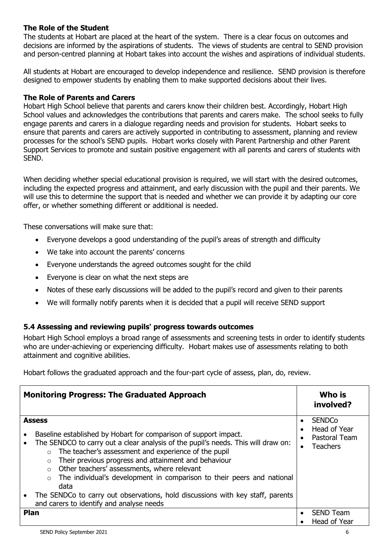#### **The Role of the Student**

The students at Hobart are placed at the heart of the system. There is a clear focus on outcomes and decisions are informed by the aspirations of students. The views of students are central to SEND provision and person-centred planning at Hobart takes into account the wishes and aspirations of individual students.

All students at Hobart are encouraged to develop independence and resilience. SEND provision is therefore designed to empower students by enabling them to make supported decisions about their lives.

#### **The Role of Parents and Carers**

Hobart High School believe that parents and carers know their children best. Accordingly, Hobart High School values and acknowledges the contributions that parents and carers make. The school seeks to fully engage parents and carers in a dialogue regarding needs and provision for students. Hobart seeks to ensure that parents and carers are actively supported in contributing to assessment, planning and review processes for the school's SEND pupils. Hobart works closely with Parent Partnership and other Parent Support Services to promote and sustain positive engagement with all parents and carers of students with SEND.

When deciding whether special educational provision is required, we will start with the desired outcomes, including the expected progress and attainment, and early discussion with the pupil and their parents. We will use this to determine the support that is needed and whether we can provide it by adapting our core offer, or whether something different or additional is needed.

These conversations will make sure that:

- Everyone develops a good understanding of the pupil's areas of strength and difficulty
- We take into account the parents' concerns
- Everyone understands the agreed outcomes sought for the child
- Everyone is clear on what the next steps are
- Notes of these early discussions will be added to the pupil's record and given to their parents
- We will formally notify parents when it is decided that a pupil will receive SEND support

#### **5.4 Assessing and reviewing pupils' progress towards outcomes**

Hobart High School employs a broad range of assessments and screening tests in order to identify students who are under-achieving or experiencing difficulty. Hobart makes use of assessments relating to both attainment and cognitive abilities.

Hobart follows the graduated approach and the four-part cycle of assess, plan, do, review.

| <b>Monitoring Progress: The Graduated Approach</b>                                                                                                                                                                                                                                                                                                                                                                                                                                                                                                                                                |                        | Who is<br>involved?                                               |
|---------------------------------------------------------------------------------------------------------------------------------------------------------------------------------------------------------------------------------------------------------------------------------------------------------------------------------------------------------------------------------------------------------------------------------------------------------------------------------------------------------------------------------------------------------------------------------------------------|------------------------|-------------------------------------------------------------------|
| <b>Assess</b><br>Baseline established by Hobart for comparison of support impact.<br>The SENDCO to carry out a clear analysis of the pupil's needs. This will draw on:<br>The teacher's assessment and experience of the pupil<br>$\circ$<br>Their previous progress and attainment and behaviour<br>$\circ$<br>Other teachers' assessments, where relevant<br>$\circ$<br>The individual's development in comparison to their peers and national<br>$\circ$<br>data<br>The SENDCo to carry out observations, hold discussions with key staff, parents<br>and carers to identify and analyse needs | $\bullet$<br>$\bullet$ | <b>SENDCo</b><br>Head of Year<br>Pastoral Team<br><b>Teachers</b> |
| Plan                                                                                                                                                                                                                                                                                                                                                                                                                                                                                                                                                                                              |                        | <b>SEND Team</b><br>Head of Year                                  |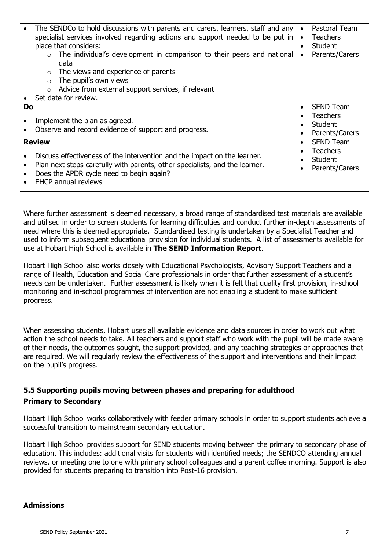|    | The SENDCo to hold discussions with parents and carers, learners, staff and any<br>specialist services involved regarding actions and support needed to be put in<br>place that considers:<br>The individual's development in comparison to their peers and national<br>data<br>The views and experience of parents<br>$\circ$<br>The pupil's own views<br>$\Omega$<br>Advice from external support services, if relevant<br>$\circ$<br>Set date for review. | $\bullet$<br>$\bullet$<br>$\bullet$<br>$\bullet$ | Pastoral Team<br><b>Teachers</b><br><b>Student</b><br>Parents/Carers |
|----|--------------------------------------------------------------------------------------------------------------------------------------------------------------------------------------------------------------------------------------------------------------------------------------------------------------------------------------------------------------------------------------------------------------------------------------------------------------|--------------------------------------------------|----------------------------------------------------------------------|
| Do |                                                                                                                                                                                                                                                                                                                                                                                                                                                              |                                                  | <b>SEND Team</b><br><b>Teachers</b>                                  |
|    | Implement the plan as agreed.<br>Observe and record evidence of support and progress.                                                                                                                                                                                                                                                                                                                                                                        |                                                  | <b>Student</b><br>Parents/Carers                                     |
|    | <b>Review</b>                                                                                                                                                                                                                                                                                                                                                                                                                                                |                                                  | <b>SEND Team</b>                                                     |
|    | Discuss effectiveness of the intervention and the impact on the learner.<br>Plan next steps carefully with parents, other specialists, and the learner.<br>Does the APDR cycle need to begin again?<br><b>EHCP annual reviews</b>                                                                                                                                                                                                                            |                                                  | <b>Teachers</b><br><b>Student</b><br>Parents/Carers                  |

Where further assessment is deemed necessary, a broad range of standardised test materials are available and utilised in order to screen students for learning difficulties and conduct further in-depth assessments of need where this is deemed appropriate. Standardised testing is undertaken by a Specialist Teacher and used to inform subsequent educational provision for individual students. A list of assessments available for use at Hobart High School is available in **The SEND Information Report**.

Hobart High School also works closely with Educational Psychologists, Advisory Support Teachers and a range of Health, Education and Social Care professionals in order that further assessment of a student's needs can be undertaken. Further assessment is likely when it is felt that quality first provision, in-school monitoring and in-school programmes of intervention are not enabling a student to make sufficient progress.

When assessing students, Hobart uses all available evidence and data sources in order to work out what action the school needs to take. All teachers and support staff who work with the pupil will be made aware of their needs, the outcomes sought, the support provided, and any teaching strategies or approaches that are required. We will regularly review the effectiveness of the support and interventions and their impact on the pupil's progress.

# **5.5 Supporting pupils moving between phases and preparing for adulthood Primary to Secondary**

Hobart High School works collaboratively with feeder primary schools in order to support students achieve a successful transition to mainstream secondary education.

Hobart High School provides support for SEND students moving between the primary to secondary phase of education. This includes: additional visits for students with identified needs; the SENDCO attending annual reviews, or meeting one to one with primary school colleagues and a parent coffee morning. Support is also provided for students preparing to transition into Post-16 provision.

#### **Admissions**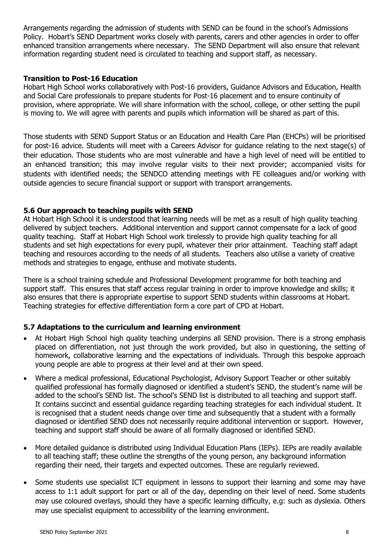Arrangements regarding the admission of students with SEND can be found in the school's Admissions Policy. Hobart's SEND Department works closely with parents, carers and other agencies in order to offer enhanced transition arrangements where necessary. The SEND Department will also ensure that relevant information regarding student need is circulated to teaching and support staff, as necessary.

#### **Transition to Post-16 Education**

Hobart High School works collaboratively with Post-16 providers, Guidance Advisors and Education, Health and Social Care professionals to prepare students for Post-16 placement and to ensure continuity of provision, where appropriate. We will share information with the school, college, or other setting the pupil is moving to. We will agree with parents and pupils which information will be shared as part of this.

Those students with SEND Support Status or an Education and Health Care Plan (EHCPs) will be prioritised for post-16 advice. Students will meet with a Careers Advisor for guidance relating to the next stage(s) of their education. Those students who are most vulnerable and have a high level of need will be entitled to an enhanced transition; this may involve regular visits to their next provider; accompanied visits for students with identified needs; the SENDCO attending meetings with FE colleagues and/or working with outside agencies to secure financial support or support with transport arrangements.

#### **5.6 Our approach to teaching pupils with SEND**

At Hobart High School it is understood that learning needs will be met as a result of high quality teaching delivered by subject teachers. Additional intervention and support cannot compensate for a lack of good quality teaching. Staff at Hobart High School work tirelessly to provide high quality teaching for all students and set high expectations for every pupil, whatever their prior attainment. Teaching staff adapt teaching and resources according to the needs of all students. Teachers also utilise a variety of creative methods and strategies to engage, enthuse and motivate students.

There is a school training schedule and Professional Development programme for both teaching and support staff. This ensures that staff access regular training in order to improve knowledge and skills; it also ensures that there is appropriate expertise to support SEND students within classrooms at Hobart. Teaching strategies for effective differentiation form a core part of CPD at Hobart.

#### **5.7 Adaptations to the curriculum and learning environment**

- At Hobart High School high quality teaching underpins all SEND provision. There is a strong emphasis placed on differentiation, not just through the work provided, but also in questioning, the setting of homework, collaborative learning and the expectations of individuals. Through this bespoke approach young people are able to progress at their level and at their own speed.
- Where a medical professional, Educational Psychologist, Advisory Support Teacher or other suitably qualified professional has formally diagnosed or identified a student's SEND, the student's name will be added to the school's SEND list. The school's SEND list is distributed to all teaching and support staff. It contains succinct and essential guidance regarding teaching strategies for each individual student. It is recognised that a student needs change over time and subsequently that a student with a formally diagnosed or identified SEND does not necessarily require additional intervention or support. However, teaching and support staff should be aware of all formally diagnosed or identified SEND.
- More detailed guidance is distributed using Individual Education Plans (IEPs). IEPs are readily available to all teaching staff; these outline the strengths of the young person, any background information regarding their need, their targets and expected outcomes. These are regularly reviewed.
- Some students use specialist ICT equipment in lessons to support their learning and some may have access to 1:1 adult support for part or all of the day, depending on their level of need. Some students may use coloured overlays, should they have a specific learning difficulty, e.g: such as dyslexia. Others may use specialist equipment to accessibility of the learning environment.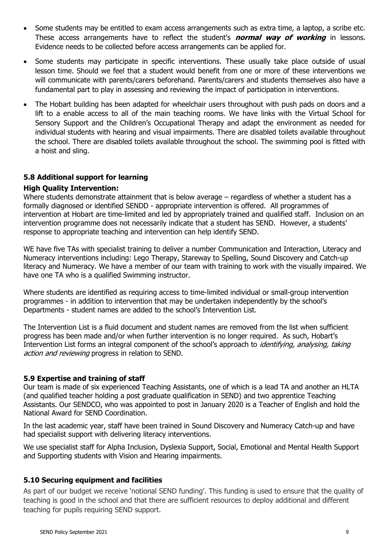- Some students may be entitled to exam access arrangements such as extra time, a laptop, a scribe etc. These access arrangements have to reflect the student's **normal way of working** in lessons. Evidence needs to be collected before access arrangements can be applied for.
- Some students may participate in specific interventions. These usually take place outside of usual lesson time. Should we feel that a student would benefit from one or more of these interventions we will communicate with parents/carers beforehand. Parents/carers and students themselves also have a fundamental part to play in assessing and reviewing the impact of participation in interventions.
- The Hobart building has been adapted for wheelchair users throughout with push pads on doors and a lift to a enable access to all of the main teaching rooms. We have links with the Virtual School for Sensory Support and the Children's Occupational Therapy and adapt the environment as needed for individual students with hearing and visual impairments. There are disabled toilets available throughout the school. There are disabled toilets available throughout the school. The swimming pool is fitted with a hoist and sling.

#### **5.8 Additional support for learning**

#### **High Quality Intervention:**

Where students demonstrate attainment that is below average – regardless of whether a student has a formally diagnosed or identified SENDD - appropriate intervention is offered. All programmes of intervention at Hobart are time-limited and led by appropriately trained and qualified staff. Inclusion on an intervention programme does not necessarily indicate that a student has SEND. However, a students' response to appropriate teaching and intervention can help identify SEND.

WE have five TAs with specialist training to deliver a number Communication and Interaction, Literacy and Numeracy interventions including: Lego Therapy, Stareway to Spelling, Sound Discovery and Catch-up literacy and Numeracy. We have a member of our team with training to work with the visually impaired. We have one TA who is a qualified Swimming instructor.

Where students are identified as requiring access to time-limited individual or small-group intervention programmes - in addition to intervention that may be undertaken independently by the school's Departments - student names are added to the school's Intervention List.

The Intervention List is a fluid document and student names are removed from the list when sufficient progress has been made and/or when further intervention is no longer required. As such, Hobart's Intervention List forms an integral component of the school's approach to *identifying, analysing, taking* action and reviewing progress in relation to SEND.

#### **5.9 Expertise and training of staff**

Our team is made of six experienced Teaching Assistants, one of which is a lead TA and another an HLTA (and qualified teacher holding a post graduate qualification in SEND) and two apprentice Teaching Assistants. Our SENDCO, who was appointed to post in January 2020 is a Teacher of English and hold the National Award for SEND Coordination.

In the last academic year, staff have been trained in Sound Discovery and Numeracy Catch-up and have had specialist support with delivering literacy interventions.

We use specialist staff for Alpha Inclusion, Dyslexia Support, Social, Emotional and Mental Health Support and Supporting students with Vision and Hearing impairments.

#### **5.10 Securing equipment and facilities**

As part of our budget we receive 'notional SEND funding'. This funding is used to ensure that the quality of teaching is good in the school and that there are sufficient resources to deploy additional and different teaching for pupils requiring SEND support.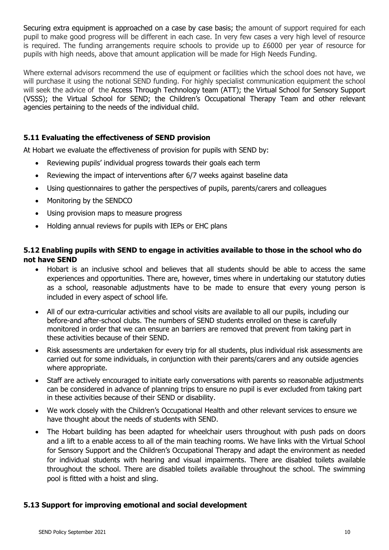Securing extra equipment is approached on a case by case basis; the amount of support required for each pupil to make good progress will be different in each case. In very few cases a very high level of resource is required. The funding arrangements require schools to provide up to  $£6000$  per year of resource for pupils with high needs, above that amount application will be made for High Needs Funding.

Where external advisors recommend the use of equipment or facilities which the school does not have, we will purchase it using the notional SEND funding. For highly specialist communication equipment the school will seek the advice of the Access Through Technology team (ATT); the Virtual School for Sensory Support (VSSS); the Virtual School for SEND; the Children's Occupational Therapy Team and other relevant agencies pertaining to the needs of the individual child.

#### **5.11 Evaluating the effectiveness of SEND provision**

At Hobart we evaluate the effectiveness of provision for pupils with SEND by:

- Reviewing pupils' individual progress towards their goals each term
- Reviewing the impact of interventions after 6/7 weeks against baseline data
- Using questionnaires to gather the perspectives of pupils, parents/carers and colleagues
- Monitoring by the SENDCO
- Using provision maps to measure progress
- Holding annual reviews for pupils with IEPs or EHC plans

#### **5.12 Enabling pupils with SEND to engage in activities available to those in the school who do not have SEND**

- Hobart is an inclusive school and believes that all students should be able to access the same experiences and opportunities. There are, however, times where in undertaking our statutory duties as a school, reasonable adjustments have to be made to ensure that every young person is included in every aspect of school life.
- All of our extra-curricular activities and school visits are available to all our pupils, including our before-and after-school clubs. The numbers of SEND students enrolled on these is carefully monitored in order that we can ensure an barriers are removed that prevent from taking part in these activities because of their SEND.
- Risk assessments are undertaken for every trip for all students, plus individual risk assessments are carried out for some individuals, in conjunction with their parents/carers and any outside agencies where appropriate.
- Staff are actively encouraged to initiate early conversations with parents so reasonable adjustments can be considered in advance of planning trips to ensure no pupil is ever excluded from taking part in these activities because of their SEND or disability.
- We work closely with the Children's Occupational Health and other relevant services to ensure we have thought about the needs of students with SEND.
- The Hobart building has been adapted for wheelchair users throughout with push pads on doors and a lift to a enable access to all of the main teaching rooms. We have links with the Virtual School for Sensory Support and the Children's Occupational Therapy and adapt the environment as needed for individual students with hearing and visual impairments. There are disabled toilets available throughout the school. There are disabled toilets available throughout the school. The swimming pool is fitted with a hoist and sling.

#### **5.13 Support for improving emotional and social development**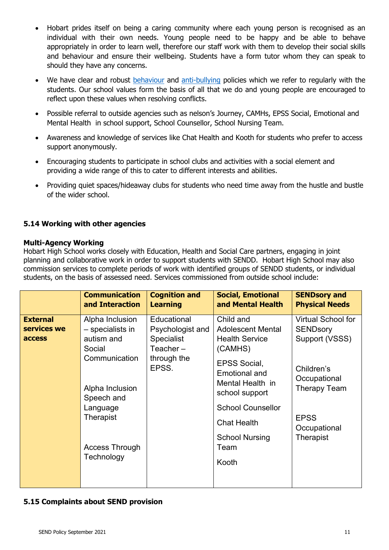- Hobart prides itself on being a caring community where each young person is recognised as an individual with their own needs. Young people need to be happy and be able to behave appropriately in order to learn well, therefore our staff work with them to develop their social skills and behaviour and ensure their wellbeing. Students have a form tutor whom they can speak to should they have any concerns.
- We have clear and robust [behaviour](https://www.hobart.org.uk/about-our-school/our-policies/) and [anti-bullying](https://www.hobart.org.uk/about-our-school/our-policies/) policies which we refer to regularly with the students. Our school values form the basis of all that we do and young people are encouraged to reflect upon these values when resolving conflicts.
- Possible referral to outside agencies such as nelson's Journey, CAMHs, EPSS Social, Emotional and Mental Health in school support, School Counsellor, School Nursing Team.
- Awareness and knowledge of services like Chat Health and Kooth for students who prefer to access support anonymously.
- Encouraging students to participate in school clubs and activities with a social element and providing a wide range of this to cater to different interests and abilities.
- Providing quiet spaces/hideaway clubs for students who need time away from the hustle and bustle of the wider school.

#### **5.14 Working with other agencies**

#### **Multi-Agency Working**

Hobart High School works closely with Education, Health and Social Care partners, engaging in joint planning and collaborative work in order to support students with SENDD. Hobart High School may also commission services to complete periods of work with identified groups of SENDD students, or individual students, on the basis of assessed need. Services commissioned from outside school include:

|                                          | <b>Communication</b><br>and Interaction                                                                        | <b>Cognition and</b><br><b>Learning</b>                             | <b>Social, Emotional</b><br>and Mental Health                                                                                                                                 | <b>SENDsory and</b><br><b>Physical Needs</b>                                                  |
|------------------------------------------|----------------------------------------------------------------------------------------------------------------|---------------------------------------------------------------------|-------------------------------------------------------------------------------------------------------------------------------------------------------------------------------|-----------------------------------------------------------------------------------------------|
| <b>External</b><br>services we<br>access | Alpha Inclusion<br>- specialists in<br>autism and<br>Social                                                    | Educational<br>Psychologist and<br><b>Specialist</b><br>Teacher $-$ | Child and<br><b>Adolescent Mental</b><br><b>Health Service</b><br>(CAMHS)                                                                                                     | <b>Virtual School for</b><br><b>SENDsory</b><br>Support (VSSS)                                |
|                                          | Communication<br>Alpha Inclusion<br>Speech and<br>Language<br>Therapist<br><b>Access Through</b><br>Technology | through the<br>EPSS.                                                | <b>EPSS Social,</b><br><b>Emotional and</b><br>Mental Health in<br>school support<br><b>School Counsellor</b><br><b>Chat Health</b><br><b>School Nursing</b><br>Team<br>Kooth | Children's<br>Occupational<br><b>Therapy Team</b><br><b>EPSS</b><br>Occupational<br>Therapist |
|                                          |                                                                                                                |                                                                     |                                                                                                                                                                               |                                                                                               |

#### **5.15 Complaints about SEND provision**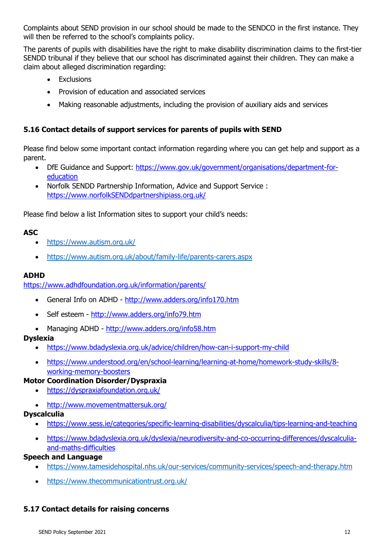Complaints about SEND provision in our school should be made to the SENDCO in the first instance. They will then be referred to the school's complaints policy.

The parents of pupils with disabilities have the right to make disability discrimination claims to the first-tier SENDD tribunal if they believe that our school has discriminated against their children. They can make a claim about alleged discrimination regarding:

- Exclusions
- Provision of education and associated services
- Making reasonable adjustments, including the provision of auxiliary aids and services

## **5.16 Contact details of support services for parents of pupils with SEND**

Please find below some important contact information regarding where you can get help and support as a parent.

- DfE Guidance and Support: [https://www.gov.uk/government/organisations/department-for](https://www.gov.uk/government/organisations/department-for-education)[education](https://www.gov.uk/government/organisations/department-for-education)
- Norfolk SENDD Partnership Information, Advice and Support Service : [https://www.norfolkSENDdpartnershipiass.org.uk/](https://www.norfolksendpartnershipiass.org.uk/)

Please find below a list Information sites to support your child's needs:

#### **ASC**

- <https://www.autism.org.uk/>
- <https://www.autism.org.uk/about/family-life/parents-carers.aspx>

#### **ADHD**

<https://www.adhdfoundation.org.uk/information/parents/>

- General Info on ADHD <http://www.adders.org/info170.htm>
- Self esteem <http://www.adders.org/info79.htm>
- Managing ADHD <http://www.adders.org/info58.htm>

#### **Dyslexia**

- <https://www.bdadyslexia.org.uk/advice/children/how-can-i-support-my-child>
- [https://www.understood.org/en/school-learning/learning-at-home/homework-study-skills/8](https://www.understood.org/en/school-learning/learning-at-home/homework-study-skills/8-working-memory-boosters) [working-memory-boosters](https://www.understood.org/en/school-learning/learning-at-home/homework-study-skills/8-working-memory-boosters)

#### **Motor Coordination Disorder/Dyspraxia**

- <https://dyspraxiafoundation.org.uk/>
- <http://www.movementmattersuk.org/>

# **Dyscalculia**

- <https://www.sess.ie/categories/specific-learning-disabilities/dyscalculia/tips-learning-and-teaching>
- [https://www.bdadyslexia.org.uk/dyslexia/neurodiversity-and-co-occurring-differences/dyscalculia](https://www.bdadyslexia.org.uk/dyslexia/neurodiversity-and-co-occurring-differences/dyscalculia-and-maths-difficulties)[and-maths-difficulties](https://www.bdadyslexia.org.uk/dyslexia/neurodiversity-and-co-occurring-differences/dyscalculia-and-maths-difficulties)

#### **Speech and Language**

- <https://www.tamesidehospital.nhs.uk/our-services/community-services/speech-and-therapy.htm>
- <https://www.thecommunicationtrust.org.uk/>

#### **5.17 Contact details for raising concerns**